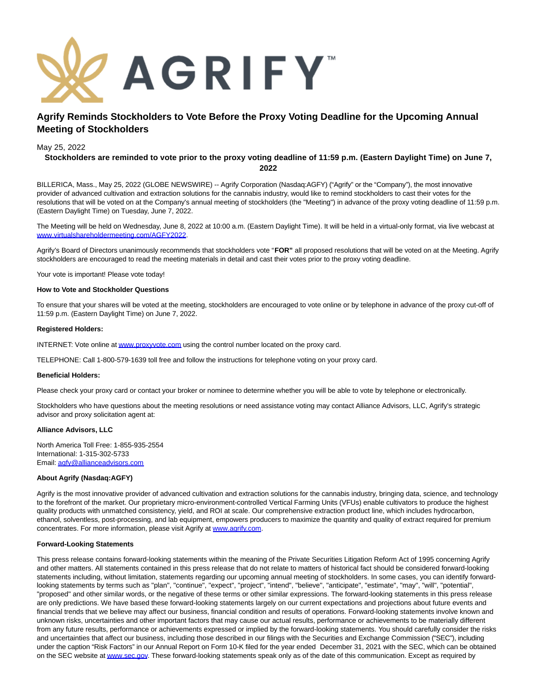

# **Agrify Reminds Stockholders to Vote Before the Proxy Voting Deadline for the Upcoming Annual Meeting of Stockholders**

## May 25, 2022

# **Stockholders are reminded to vote prior to the proxy voting deadline of 11:59 p.m. (Eastern Daylight Time) on June 7, 2022**

BILLERICA, Mass., May 25, 2022 (GLOBE NEWSWIRE) -- Agrify Corporation (Nasdaq:AGFY) ("Agrify" or the "Company"), the most innovative provider of advanced cultivation and extraction solutions for the cannabis industry, would like to remind stockholders to cast their votes for the resolutions that will be voted on at the Company's annual meeting of stockholders (the "Meeting") in advance of the proxy voting deadline of 11:59 p.m. (Eastern Daylight Time) on Tuesday, June 7, 2022.

The Meeting will be held on Wednesday, June 8, 2022 at 10:00 a.m. (Eastern Daylight Time). It will be held in a virtual-only format, via live webcast at [www.virtualshareholdermeeting.com/AGFY2022.](https://www.globenewswire.com/Tracker?data=YTY9xGgP_95H6DZRp3iMRXLlcNYDR2Ts_GjVzGzKqR45gvo55RGWQa_4OcikIrajylhH4QmZUyJ5rAqHm-xt2H44-O2_i1jJ4jiac_Kflrz6mYK5W5WLwY0sNQAqtkWsBOhOM5eKI1mXlF43ZUt09-SIufTOwsy-eNAnDdFW7W8=)

Agrify's Board of Directors unanimously recommends that stockholders vote "**FOR"** all proposed resolutions that will be voted on at the Meeting. Agrify stockholders are encouraged to read the meeting materials in detail and cast their votes prior to the proxy voting deadline.

Your vote is important! Please vote today!

#### **How to Vote and Stockholder Questions**

To ensure that your shares will be voted at the meeting, stockholders are encouraged to vote online or by telephone in advance of the proxy cut-off of 11:59 p.m. (Eastern Daylight Time) on June 7, 2022.

#### **Registered Holders:**

INTERNET: Vote online a[t www.proxyvote.com u](https://www.globenewswire.com/Tracker?data=s_AwO3m-fiuZAPu4AY3cWVQfixiwst8iKrgYtk6-msXn2FMtA377TS-JhieucIUiMnkeEAGYpqnZHINmW77eOg==)sing the control number located on the proxy card.

TELEPHONE: Call 1-800-579-1639 toll free and follow the instructions for telephone voting on your proxy card.

### **Beneficial Holders:**

Please check your proxy card or contact your broker or nominee to determine whether you will be able to vote by telephone or electronically.

Stockholders who have questions about the meeting resolutions or need assistance voting may contact Alliance Advisors, LLC, Agrify's strategic advisor and proxy solicitation agent at:

#### **Alliance Advisors, LLC**

North America Toll Free: 1-855-935-2554 International: 1-315-302-5733 Email[: agfy@allianceadvisors.com](https://www.globenewswire.com/Tracker?data=hWxJDBV4bElQJY6kmnhWoYcPbu5rb1vcvGajgEwwdBGf7iK69gb0HKJDlJB6na4Xp-99-VZNDTciCHNphTzRotI17yu1pf6Fe31h-xWDnm8=)

#### **About Agrify (Nasdaq:AGFY)**

Agrify is the most innovative provider of advanced cultivation and extraction solutions for the cannabis industry, bringing data, science, and technology to the forefront of the market. Our proprietary micro-environment-controlled Vertical Farming Units (VFUs) enable cultivators to produce the highest quality products with unmatched consistency, yield, and ROI at scale. Our comprehensive extraction product line, which includes hydrocarbon, ethanol, solventless, post-processing, and lab equipment, empowers producers to maximize the quantity and quality of extract required for premium concentrates. For more information, please visit Agrify at [www.agrify.com.](https://www.globenewswire.com/Tracker?data=Xf17NTmXnCh6M2k7AJLDtCQRZiNN9SpHYYk6TADHN4K-Tb8vkskWac0AhgK8TpbUYvi-B7iDctP-a4hGEGxMmA==)

## **Forward-Looking Statements**

This press release contains forward-looking statements within the meaning of the Private Securities Litigation Reform Act of 1995 concerning Agrify and other matters. All statements contained in this press release that do not relate to matters of historical fact should be considered forward-looking statements including, without limitation, statements regarding our upcoming annual meeting of stockholders. In some cases, you can identify forwardlooking statements by terms such as "plan", "continue", "expect", "project", "intend", "believe", "anticipate", "estimate", "may", "will", "potential", "proposed" and other similar words, or the negative of these terms or other similar expressions. The forward-looking statements in this press release are only predictions. We have based these forward-looking statements largely on our current expectations and projections about future events and financial trends that we believe may affect our business, financial condition and results of operations. Forward-looking statements involve known and unknown risks, uncertainties and other important factors that may cause our actual results, performance or achievements to be materially different from any future results, performance or achievements expressed or implied by the forward-looking statements. You should carefully consider the risks and uncertainties that affect our business, including those described in our filings with the Securities and Exchange Commission ("SEC"), including under the caption "Risk Factors" in our Annual Report on Form 10-K filed for the year ended December 31, 2021 with the SEC, which can be obtained on the SEC website a[t www.sec.gov.](https://www.globenewswire.com/Tracker?data=4ZjvCNThaYp5q5ZXt7A09psc6PC6c6mPDYBmCWVHwLoY3fGEzvR-Szs6GG-RsxrRgvWM-QIu0xOYhHL0S5ErNQ==) These forward-looking statements speak only as of the date of this communication. Except as required by